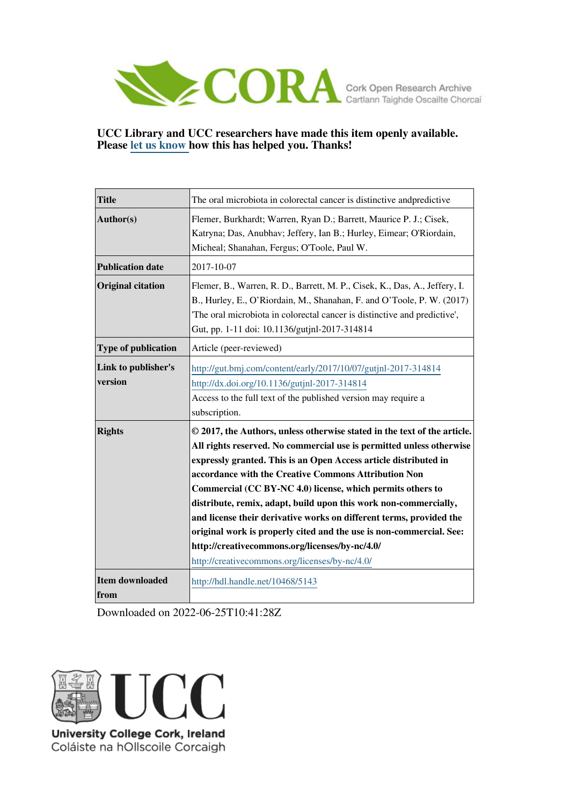

## **UCC Library and UCC researchers have made this item openly available. Please [let us know h](https://libguides.ucc.ie/openaccess/impact?suffix=5143&title=The oral microbiota in colorectal cancer is distinctive andpredictive)ow this has helped you. Thanks!**

| <b>Title</b>                   | The oral microbiota in colorectal cancer is distinctive and predictive                                                                                                                                                                                                                                                                                                                                                                                                                                                                                                                                                                                           |
|--------------------------------|------------------------------------------------------------------------------------------------------------------------------------------------------------------------------------------------------------------------------------------------------------------------------------------------------------------------------------------------------------------------------------------------------------------------------------------------------------------------------------------------------------------------------------------------------------------------------------------------------------------------------------------------------------------|
| Author(s)                      | Flemer, Burkhardt; Warren, Ryan D.; Barrett, Maurice P. J.; Cisek,<br>Katryna; Das, Anubhav; Jeffery, Ian B.; Hurley, Eimear; O'Riordain,<br>Micheal; Shanahan, Fergus; O'Toole, Paul W.                                                                                                                                                                                                                                                                                                                                                                                                                                                                         |
| <b>Publication date</b>        | 2017-10-07                                                                                                                                                                                                                                                                                                                                                                                                                                                                                                                                                                                                                                                       |
| <b>Original citation</b>       | Flemer, B., Warren, R. D., Barrett, M. P., Cisek, K., Das, A., Jeffery, I.<br>B., Hurley, E., O'Riordain, M., Shanahan, F. and O'Toole, P. W. (2017)<br>The oral microbiota in colorectal cancer is distinctive and predictive',<br>Gut, pp. 1-11 doi: 10.1136/gutjnl-2017-314814                                                                                                                                                                                                                                                                                                                                                                                |
| <b>Type of publication</b>     | Article (peer-reviewed)                                                                                                                                                                                                                                                                                                                                                                                                                                                                                                                                                                                                                                          |
| Link to publisher's<br>version | http://gut.bmj.com/content/early/2017/10/07/gutjnl-2017-314814<br>http://dx.doi.org/10.1136/gutjnl-2017-314814<br>Access to the full text of the published version may require a<br>subscription.                                                                                                                                                                                                                                                                                                                                                                                                                                                                |
| <b>Rights</b>                  | © 2017, the Authors, unless otherwise stated in the text of the article.<br>All rights reserved. No commercial use is permitted unless otherwise<br>expressly granted. This is an Open Access article distributed in<br>accordance with the Creative Commons Attribution Non<br>Commercial (CC BY-NC 4.0) license, which permits others to<br>distribute, remix, adapt, build upon this work non-commercially,<br>and license their derivative works on different terms, provided the<br>original work is properly cited and the use is non-commercial. See:<br>http://creativecommons.org/licenses/by-nc/4.0/<br>http://creativecommons.org/licenses/by-nc/4.0/ |
| <b>Item downloaded</b><br>from | http://hdl.handle.net/10468/5143                                                                                                                                                                                                                                                                                                                                                                                                                                                                                                                                                                                                                                 |

Downloaded on 2022-06-25T10:41:28Z



Coláiste na hOllscoile Corcaigh